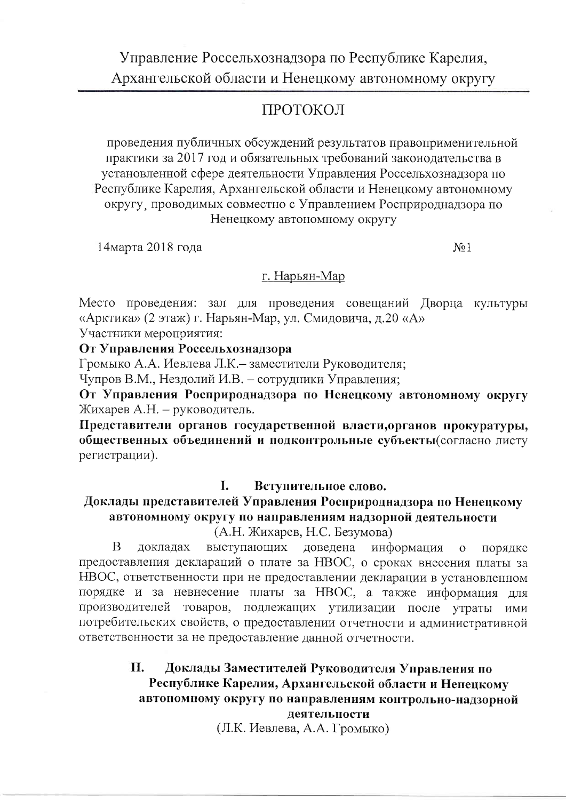# Управление Россельхознадзора по Республике Карелия, Архангельской области и Ненецкому автономному округу

# ПРОТОКОЛ

проведения публичных обсуждений результатов правоприменительной практики за 2017 год и обязательных требований законодательства в установленной сфере деятельности Управления Россельхознадзора по Республике Карелия, Архангельской области и Ненецкому автономному округу проводимых совместно с Управлением Росприроднадзора по Ненецкому автономному округу

14марта 2018 года

 $No<sub>1</sub>$ 

### г. Нарьян-Мар

Место проведения: зал для проведения совещаний Дворца культуры «Арктика» (2 этаж) г. Нарьян-Мар, ул. Смидовича, д.20 «А»

Участники мероприятия:

От Управления Россельхознадзора

Громыко А.А. Иевлева Л.К. - заместители Руководителя;

Чупров В.М., Нездолий И.В. - сотрудники Управления;

От Управления Росприроднадзора по Ненецкому автономному округу Жихарев А.Н. - руководитель.

Представители органов государственной власти, органов прокуратуры, общественных объединений и подконтрольные субъекты(согласно листу регистрации).

#### I. Вступительное слово.

# Доклады представителей Управления Росприроднадзора по Ненецкому автономному округу по направлениям надзорной деятельности

(А.Н. Жихарев, Н.С. Безумова)

B докладах выступающих доведена информация  $\overline{O}$ порядке предоставления деклараций о плате за НВОС, о сроках внесения платы за НВОС, ответственности при не предоставлении декларации в установленном порядке и за невнесение платы за НВОС, а также информация для производителей товаров, подлежащих утилизации после утраты ими потребительских свойств, о предоставлении отчетности и административной ответственности за не предоставление данной отчетности.

#### Доклады Заместителей Руководителя Управления по П. Республике Карелия, Архангельской области и Ненецкому автономному округу по направлениям контрольно-надзорной деятельности

(Л.К. Иевлева, А.А. Громыко)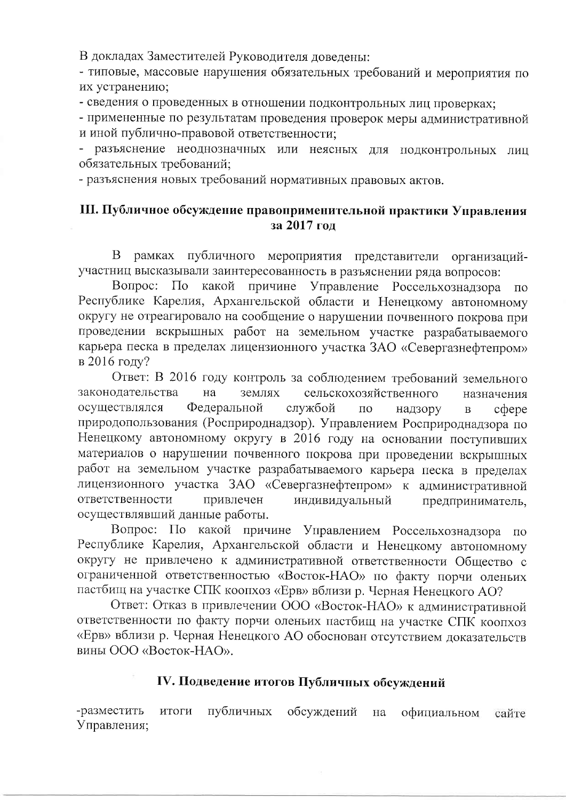В докладах Заместителей Руководителя доведены:

- типовые, массовые нарушения обязательных требований и мероприятия по их устранению;

- сведения о проведенных в отношении подконтрольных лиц проверках;

- примененные по результатам проведения проверок меры административной и иной публично-правовой ответственности:

разъяснение неоднозначных или неясных для подконтрольных лиц обязательных требований:

- разъяснения новых требований нормативных правовых актов.

## Ш. Публичное обсуждение правоприменительной практики Управления за 2017 год

В рамках публичного мероприятия представители организацийучастниц высказывали заинтересованность в разъяснении ряда вопросов:

Bompoc:  $\Pi$ <sub>o</sub> какой причине Управление Россельхознадзора  $\overline{10}$ Республике Карелия, Архангельской области и Ненецкому автономному округу не отреагировало на сообщение о нарушении почвенного покрова при проведении вскрышных работ на земельном участке разрабатываемого карьера песка в пределах лицензионного участка ЗАО «Севергазнефтепром» в 2016 году?

Ответ: В 2016 году контроль за соблюдением требований земельного законодательства на землях сельскохозяйственного назначения осуществлялся Федеральной службой  $\overline{10}$ надзору  $\overline{B}$  $c$  depe природопользования (Росприроднадзор). Управлением Росприроднадзора по Ненецкому автономному округу в 2016 году на основании поступивших материалов о нарушении почвенного покрова при проведении вскрышных работ на земельном участке разрабатываемого карьера песка в пределах лицензионного участка ЗАО «Севергазнефтепром» к административной ответственности привлечен индивидуальный предприниматель, осуществлявший данные работы.

Вопрос: По какой причине Управлением Россельхознадзора по Республике Карелия, Архангельской области и Ненецкому автономному округу не привлечено к административной ответственности Обшество с ограниченной ответственностью «Восток-НАО» по факту порчи оленьих пастбищ на участке СПК коопхоз «Ерв» вблизи р. Черная Ненецкого АО?

Ответ: Отказ в привлечении ООО «Восток-НАО» к административной ответственности по факту порчи оленьих пастбищ на участке СПК коопхоз «Ерв» вблизи р. Черная Ненецкого АО обоснован отсутствием доказательств вины ООО «Восток-НАО».

#### IV. Подведение итогов Публичных обсуждений

-разместить итоги публичных обсуждений на официальном сайте Управления: